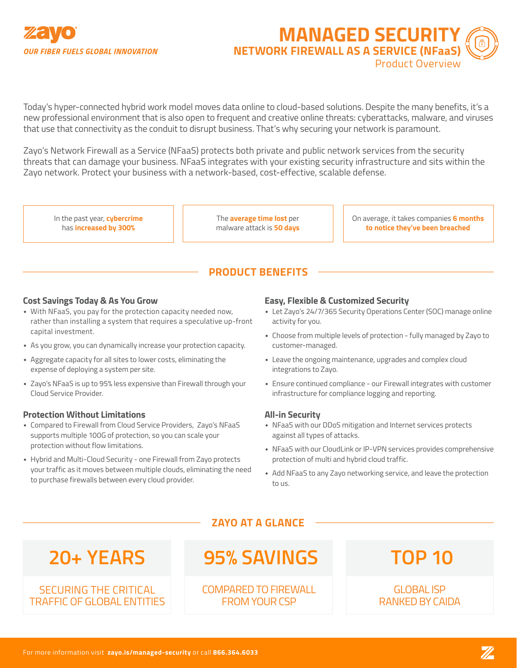

**MANAGED SECURIT NETWORK FIREWALL AS A SERVICE (NFaaS)** Product Overview

Today's hyper-connected hybrid work model moves data online to cloud-based solutions. Despite the many benefits, it's a new professional environment that is also open to frequent and creative online threats: cyberattacks, malware, and viruses that use that connectivity as the conduit to disrupt business. That's why securing your network is paramount.

Zayo's Network Firewall as a Service (NFaaS) protects both private and public network services from the security threats that can damage your business. NFaaS integrates with your existing security infrastructure and sits within the Zayo network. Protect your business with a network-based, cost-effective, scalable defense.

In the past year, **cybercrime**  has **increased by 300%**

The **average time lost** per malware attack is **50 days** On average, it takes companies **6 months to notice they've been breached**

# **PRODUCT BENEFITS**

### **Cost Savings Today & As You Grow**

- With NFaaS, you pay for the protection capacity needed now, rather than installing a system that requires a speculative up-front capital investment.
- As you grow, you can dynamically increase your protection capacity.
- Aggregate capacity for all sites to lower costs, eliminating the expense of deploying a system per site.
- Zayo's NFaaS is up to 95% less expensive than Firewall through your Cloud Service Provider.

### **Protection Without Limitations**

- Compared to Firewall from Cloud Service Providers, Zayo's NFaaS supports multiple 100G of protection, so you can scale your protection without flow limitations.
- Hybrid and Multi-Cloud Security one Firewall from Zayo protects your traffic as it moves between multiple clouds, eliminating the need to purchase firewalls between every cloud provider.

### **Easy, Flexible & Customized Security**

- Let Zayo's 24/7/365 Security Operations Center (SOC) manage online activity for you.
- Choose from multiple levels of protection fully managed by Zayo to customer-managed.
- Leave the ongoing maintenance, upgrades and complex cloud integrations to Zayo.
- Ensure continued compliance our Firewall integrates with customer infrastructure for compliance logging and reporting.

### **All-in Security**

- NFaaS with our DDoS mitigation and Internet services protects against all types of attacks.
- NFaaS with our CloudLink or IP-VPN services provides comprehensive protection of multi and hybrid cloud traffic.
- Add NFaaS to any Zayo networking service, and leave the protection to us.

# **ZAYO AT A GLANCE**

SECURING THE CRITICAL TRAFFIC OF GLOBAL ENTITIES

# **20+ YEARS ●TOP 10 ●95% SAVINGS**

# COMPARED TO FIREWALL FROM YOUR CSP

GLOBAL ISP RANKED BY CAIDA